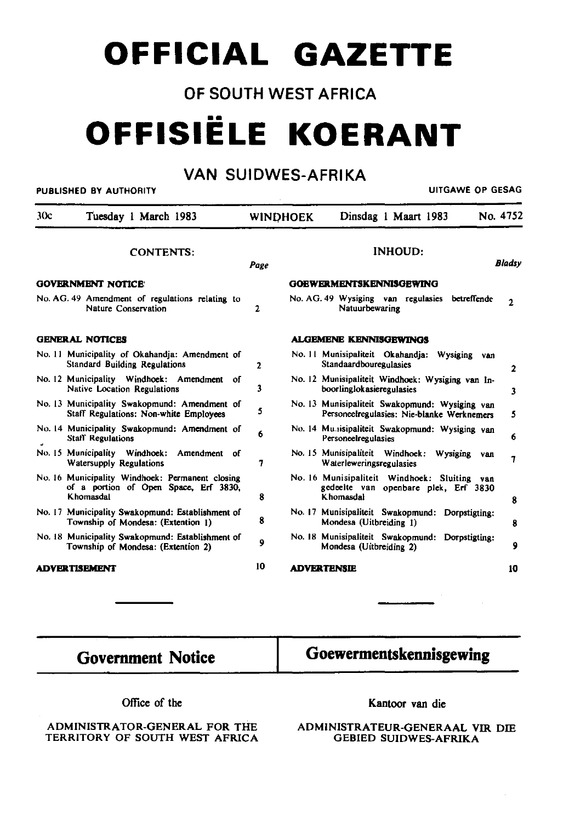## **OFFICIAL GAZETTE**

## OF SOUTH WEST AFRICA

# **OFFISIELE KOERANT**

## VAN SUIDWES-AFRIKA

#### **PUBLISHED BY AUTHORITY CHARGE OF GESAGREET ACCORDING TO A SECOND ACCORDING TO A SECOND PUBLISHED BY AUTHORITY**

 $\mathcal{L} = \mathcal{L}$ 

| 30c                       | Tuesday 1 March 1983                                                                                  |    | <b>WINDHOEK</b>                  |                                                                                                   | Dinsdag 1 Maart 1983 |             | No. 4752     |  |
|---------------------------|-------------------------------------------------------------------------------------------------------|----|----------------------------------|---------------------------------------------------------------------------------------------------|----------------------|-------------|--------------|--|
| <b>CONTENTS:</b>          |                                                                                                       |    | <b>INHOUD:</b><br>Bladsy<br>Page |                                                                                                   |                      |             |              |  |
| <b>GOVERNMENT NOTICE:</b> |                                                                                                       |    | <b>GOEWERMENTSKENNISGEWING</b>   |                                                                                                   |                      |             |              |  |
|                           | No. AG. 49 Amendment of regulations relating to<br>Nature Conservation                                | 2  |                                  | No. AG. 49 Wysiging van regulasies<br>Natuurbewaring                                              |                      | betreffende | $\mathbf{2}$ |  |
| <b>GENERAL NOTICES</b>    |                                                                                                       |    | <b>ALGEMENE KENNISGEWINGS</b>    |                                                                                                   |                      |             |              |  |
|                           | No. 11 Municipality of Okahandja: Amendment of<br><b>Standard Building Regulations</b>                | 2  |                                  | No. 11 Munisipaliteit Okahandja:<br>Standaardbouregulasies                                        |                      | Wysiging    | van<br>2     |  |
|                           | No. 12 Municipality Windhoek: Amendment of<br>Native Location Regulations                             | 3  |                                  | No. 12 Munisipaliteit Windhoek: Wysiging van In-<br>boorlinglokasieregulasies                     |                      |             | 3            |  |
|                           | No. 13 Municipality Swakopmund: Amendment of<br>Staff Regulations: Non-white Employees                | 5  |                                  | No. 13 Munisipaliteit Swakopmund: Wysiging van<br>Personeelregulasies: Nie-blanke Werknemers      |                      |             | 5            |  |
|                           | No. 14 Municipality Swakopmund: Amendment of<br><b>Staff Regulations</b>                              | 6  |                                  | No. 14 Mu.sisipaliteit Swakopmund: Wysiging van<br>Personeelregulasies                            |                      |             | 6            |  |
|                           | No. 15 Municipality Windhoek: Amendment of<br>Watersupply Regulations                                 | 7  |                                  | No. 15 Munisipaliteit Windhoek:<br>Waterleweringsregulasies                                       |                      | Wysiging    | van<br>7     |  |
|                           | No. 16 Municipality Windhoek: Permanent closing<br>of a portion of Open Space, Erf 3830,<br>Khomasdal | 8  |                                  | No. 16 Munisipaliteit Windhoek: Sluiting van<br>gedeelte van openbare plek, Erf 3830<br>Khomasdal |                      |             | 8            |  |
|                           | No. 17 Municipality Swakopmund: Establishment of<br>Township of Mondesa: (Extention 1)                | 8  |                                  | No. 17 Munisipaliteit Swakopmund: Dorpstigting:<br>Mondesa (Uitbreiding 1)                        |                      |             | 8            |  |
|                           | No. 18 Municipality Swakopmund: Establishment of<br>Township of Mondesa: (Extention 2)                | 9  |                                  | No. 18 Munisipaliteit Swakopmund: Dorpstigting:<br>Mondesa (Uitbreiding 2)                        |                      |             | 9            |  |
| <b>ADVERTISEMENT</b>      |                                                                                                       | 10 | <b>ADVERTENSIE</b>               |                                                                                                   |                      | 10          |              |  |

## Government Notice

## Goewermentskennisgewing

Office of the

#### ADMINISTRATOR-GENERAL FOR THE TERRITORY OF SOUTH WEST AFRICA

Kantoor van die

ADMINISTRATEUR-GENERAAL VIR DIE GEBIED SUIDWES-AFRIKA